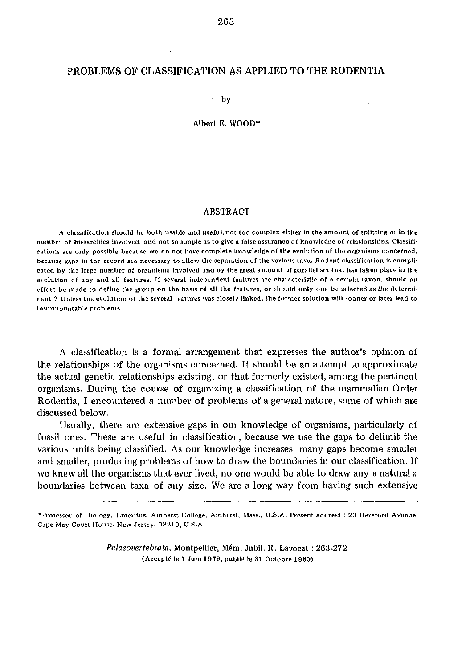## PROBLEMS OF CLASSIFICATION AS APPLIED TO THE RODENTIA

by

## Albert E. WOOD\*

## ABSTRACT

A classification should be both usable and useful, not too complex either in the amount of splitting or in the number of hierarchies involved, and not so simple as to give a false assurance of knowledge of relationships. Classifications are only possible because we do not have complete knowledge of the evolution of the organisms concerned, because gaps in the record are necessary to allow the separation of the various taxa. Rodent classification is complicated by the large number of organisms involved and by the great amount of parallelism that has taken place in the evolution of any and all features. If several independent features are characteristic of a certain taxon, should an effort be made to define the group on the basis of all the features, or should only one be selected as *the* determinant ? Unless the evolution of the several features was closely linked, the former solution will sooner or later lead to insurmountable problems.

A classification is a formal arrangement that expresses the author's opinion of the relationships of the organisms concerned. It should be an attempt to approximate the actual genetic relationships existing, or that formerly existed, among the pertinent organisms. During the course of organizing a classification of the mammalian Order Rodentia, I encountered a number of problems of a general nature, some of which are discussed below.

Usually, there are extensive gaps in our knowledge of organisms, particularly of fossil ones. These are useful in classification, because we use the gaps to delimit the various units being classified. As our knowledge increases, many gaps become smaller and smaller, producing problems of how to draw the boundaries in our classification. If we knew all the organisms that ever lived, no one would be able to draw any « natural» boundaries between taxa of any size. We are a long way from having such extensive

*Palaeovertebrata,* Montpellier, Mem. Jubi!. R. Lavocat : 263·272 (Accepté le 7 Juin 1979, publié le 31 Octobre 1980)

<sup>\*</sup>Professor of Biology, Emeritus. Amherst College, Amherst, Mass., U.S.A. Present address: 20 Hereford Avenue, Cape May Court House. New Jersey. 08210, U.S.A.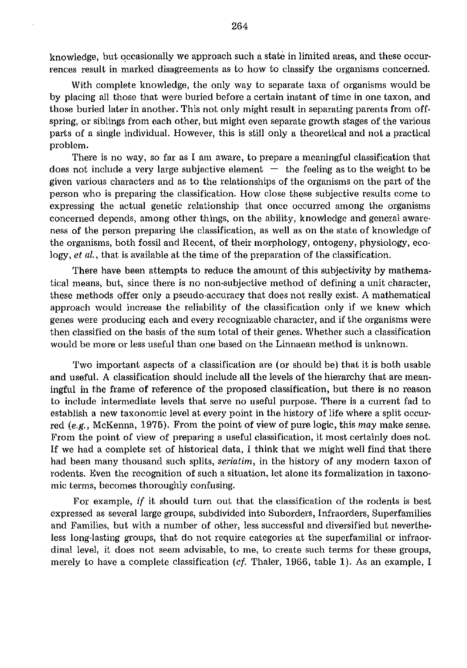knowledge, but occasionally we approach such a state in limited areas, and these occurrences result in marked disagreements as to how to classify the organisms concerned.

With complete knowledge, the only way to separate taxa of organisms would be by placing all those that were buried before a certain instant of time in one taxon, and those buried later in another. This not only might result in separating parents from offspring, or siblings from each other, but might even separate growth stages of the various parts of a single individual. However, this is still only a theoretical and not a practical problem.

There is no way, so far as I am aware, to prepare a meaningful classification that does not include a very large subjective element  $-$  the feeling as to the weight to be given various characters and as to the relationships of the organisms on the part of the person who is preparing the classification. How close these subjective results come to expressing the actual genetic relationship that once occurred among the organisms concerned depends, among other things, on the ability, knowledge and general awareness of the person preparing the classification, as well as on the state of knowledge of the organisms, both fossil and Recent, of their morphology, ontogeny, physiology, ecology, *et al.*, that is available at the time of the preparation of the classification.

There have been attempts to reduce the amount of this subjectivity by mathematical means, but, since there is no non-subjective method of defining a unit character, these methods offer only a pseudo·accuracy that does not really exist. A mathematical approach would increase the reliability of the classification only if we knew which genes were producing each and every recognizable character, and if the organisms were then classified on the basis of the sum total of their genes. Whether such a classification would be more or less useful than one based on the Linnaean method is unknown.

Two important aspects of a classification are (or should be) that it is both usable and useful. A classification should include all the levels of the hierarchy that are meaningful in the frame of reference of the proposed classification, but there is no reason to include intermediate levels that serve no useful purpose. There is a current fad to establish a new taxonomic level at every point in the history of life where a split occurred *(e.g.,* McKenna, 1975). From the point of view of pure logic, this *may* make sense. From the point of view of preparing a useful classification, it most certainly does not. If we had a complete set of historical data, I think that we might well find that there had been many thousand such splits, *seriatim,* in the history of any modern taxon of rodents. Even the recognition of such a situation, let alone its formalization in taxonomic terms, becomes thoroughly confusing.

For example, if it should turn out that the classification of the rodents is best expressed as several large groups, subdivided into Suborders, Infraorders, Superfamilies and Families, but with a number of other, less successful and diversified but nevertheless long-lasting groups, that do not require categories at the superfamilial or infraordinal level, it does not seem advisable, to me, to create such terms for these groups, merely to have a complete classification (*cf.* Thaler, 1966, table 1). As an example, I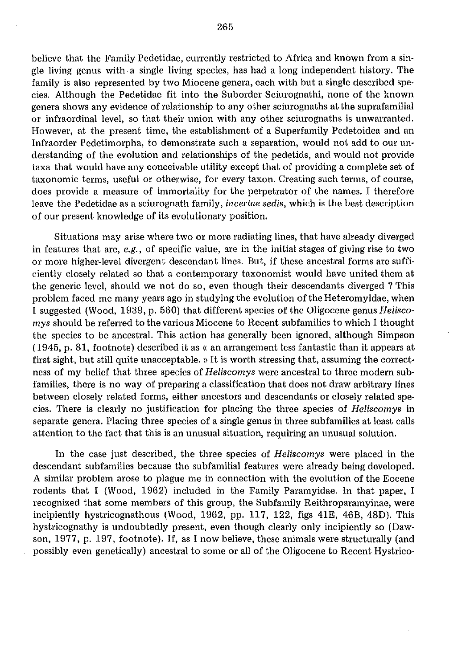believe that the Family Pedetidae, currently restricted to Africa and known from a single living genus with a single living species, has had a long independent history. The family is also represented by two Miocene genera, each with but a single described species. Although the Pedetidae fit into the Suborder Sciurognathi, none of the known genera shows any evidence of relationship to any other sciurognaths at the suprafamilial or infraordinal level, so that their union with any other sciurognaths is unwarranted. However, at the present time, the establishment of a Superfamily Pedetoidea and an [nfraorder Pedetimorpha, to demonstrate such a separation, would not add to our understanding of the evolution and relationships of the pedetids, and would not provide taxa that would have any conceivable utility except that of providing a complete set of taxonomic terms, useful or otherwise, for every taxon. Creating such terms, of course, does provide a measure of immortality for the perpetrator of the names. I therefore leave the Pedetidae as a sciurognath family, *incertae sedis*, which is the best description of our present knowledge of its evolutionary position.

Situations may arise where two or more radiating lines, that have already diverged in features that are, *e.g.,* of specific value, are in the initial stages of giving rise to two 01' more higher-level divergent descendant lines. But, if these ancestral forms are sufficiently closely related so that a contemporary taxonomist would have united them at the generic level, should we not do so, even though their descendants diverged? This problem faced me many years ago in studying the evolution of the Heteromyidae, when I suggested (Wood, 1939, p. 560) that different species of the Oligocene *genus HeUscomys* should be referred to the various Miocene to Recent subfamilies to which I thought the species to be ancestral. This action has generally been ignored, although Simpson  $(1945, p. 81,$  footnote) described it as  $\kappa$  an arrangement less fantastic than it appears at first sight, but still quite unacceptable. » It is worth stressing that, assuming the correctness of my belief that three species of *Heliscomys* were ancestral to three modern subfamilies, there is no way of preparing a classification that does not draw arbitrary lines between closely related forms, either ancestors and descendants or closely related species. There is clearly no justification for placing the three species of *HeUscomys* in separate genera. Placing three species of a single genus in three subfamilies at least calls attention to the fact that this is an unusual situation, requiring an unusual solution.

In the case just described, the three species of *Heliscomys* were placed in the descendant subfamilies because the subfamilial features were already being developed. A similar problem arose to plague me in connection with the evolution of the Eocene rodents that I (Wood, 1962) included in the Family Paramyidae. In that paper, I recognized that some members of this group, the Subfamily Reithroparamyinae, were incipiently hystricognathous (Wood, 1962, pp. 117, 122, figs 41E, 46B, 48D). This hystricognathy is undoubtedly present, even though clearly only incipiently so (Dawson, 1977, p. 197, footnote). If, as I now believe, these animals were structurally (and possibly even genetically) ancestral to some or all of the Oligocene to Recent Hystrico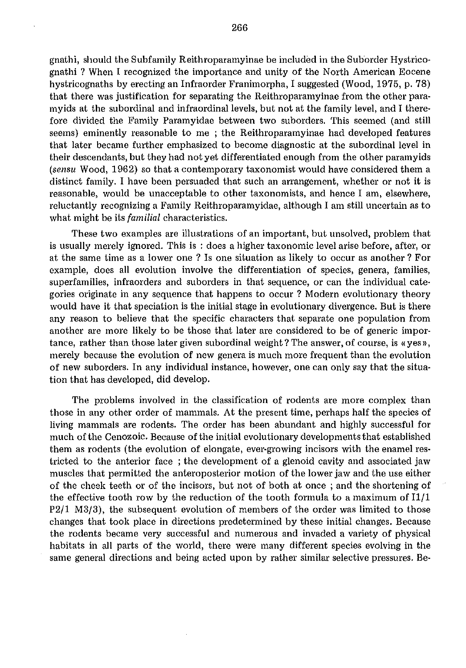gnathi, should the Subfamily Reithroparamyinae be included in the Suborder Hystricognathi ? When I recognized the importance and unity of the North American Eocene hystricognaths by erecting an Infraorder Franimorpha, I suggested (Wood, 1975, p. 78) that there was justification for separating the Reithroparamyinae from the other paramyids at the subordinal and infraordinal levels, but not at the family level, and I therefore divided the Family Paramyidae between two suborders. This seemed (and still seems) eminently reasonable to me ; the Reithroparamyinae had developed features that later became further emphasized to become diagnostic at the sub ordinal level in their descendants, but they had not yet differentiated enough from the other paramyids (sensu Wood, 1962) so that a contemporary taxonomist would have considered them a distinct family. I have been persuaded that such an arrangement, whether or not it is reasonable, would be unacceptable to other taxonomists, and hence I am, elsewhere, reluctantly recognizing a Family Reithroparamyidae, although I am still uncertain as to what might be its *familial* characteristics.

These two examples are illustrations of an important, but unsolved, problem that is usually merely ignored. This is : does a higher taxonomic level arise before, after, or at the same time as a lower one? Is one situation as likely to occur as another? For example, does all evolution involve the differentiation of species, genera, families, superfamilies, infraorders and suborders in that sequence, or can the individual categories originate in any sequence that happens to occur? Modern evolutionary theory would have it that speciation is the initial stage in evolutionary divergence. But is there any reason to believe that the specific characters that separate one population from another are more likely to be those that later are considered to be of generic importance, rather than those later given subordinal weight? The answer, of course, is  $\alpha$  yes  $\alpha$ , merely because the evolution of new genera is much more frequent than the evolution of new suborders. In any individual instance, however, one can only say that the situation that has developed, did develop.

The problems involved in the classification of rodents are more complex than those in any other order of mammals. At the present time, perhaps half the species of living mammals are rodents. The order has been abundant and highly successful for much of the Cenozoic. Because of the initial evolutionary developments that established them as rodents (the evolution of elongate, ever-growing incisors with the enamel restricted to the anterior face ; the development of a glenoid cavity and associated jaw muscles that permitted the anteroposterior motion of the lower jaw and the use either of the cheek teeth or of the incisors, but not of both at once; and the shortening of the effective tooth row by the reduction of the tooth formula to a maximum of  $I1/1$ P2/l M3/3), the subsequent evolution of members of the order was limited to those changes that took place in directions predetermined by these initial changes. Because the rodents became very successful and numerous and invaded a variety of physical habitats in all parts of the world, there were many different species evolving in the same general directions and being acted upon by rather similar selective pressures. Be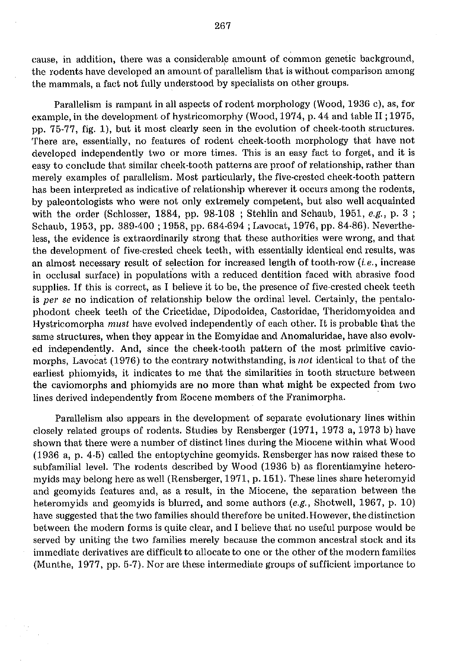cause, in addition, there was a considerable amount of common genetic background, the rodents have developed an amount of parallelism that is without comparison among the mammals, a fact not fully understood by specialists on other groups.

Parallelism is rampant in all aspects of rodent morphology (Wood, 1936 c), as, for example, in the development of hystricomorphy (Wood, 1974, p. 44 and table II; 1975, pp. 75·77, fig. 1), but it most clearly seen in the evolution of cheek·tooth structures. There are, essentially, no features of rodent cheek·tooth morphology that have not developed independently two or more times. This is an easy fact to forget, and it is easy to conclude that similar cheek-tooth patterns are proof of relationship, rather than merely examples of parallelism. Most particularly, the five-crested cheek-tooth pattern has been interpreted as indicative of relationship wherever it occurs among the rodents, by paleontologists who were not only extremely competent, but also well acquainted with the order (Schlosser, 1884, pp. 98-108 ; Stehlin and Schaub, 1951, *e.g.,* p. 3 ; Schaub, 1953, pp. 389-400; 1958, pp. 684-694; Lavocat, 1976, pp. 84-86). Nevertheless, the evidence is extraordinarily strong that these authorities were wrong, and that the development of five-crested cheek teeth, with essentially identical end results, was an almost necessary result of selection for increased length of tooth-row (i. *e.,* increase in occlusal surface) in populations with a reduced dentition faced with abrasive food supplies. If this is correct, as I believe it to be, the presence of five-crested cheek teeth is *per se* no indication of relationship below the ordinal level. Certainly, the pentalophodont cheek teeth of the Cricetidae, Dipodoidea, Castoridae, Theridomyoidea and Hystricomorpha *must* have evolved independently of each other. It is probable that the same structures, when they appear in the Eomyidae and Anomaluridae, have also evolved independently. And, since the cheek-tooth pattern of the most primitive caviomorphs, Lavocat (1976) to the contrary notwithstanding, is *not* identical to that of the earliest phiomyids, it indicates to me that the similarities in tooth structure between the caviomorphs and phiomyids are no more than what might be expected from two lines derived independently from Eocene members of the Franimorpha.

Parallelism also appears in the development of separate evolutionary lines within closely related groups of rodents. Studies by Rensberger (1971, 1973 a, 1973 b) have shown that there were a number of distinct lines during the Miocene within what Wood (1936 a, p. 4-5) called the entoptychine geomyids. Rensberger has now raised these to subfamilial level. The rodents described by Wood (1936 b) as florentiamyine heteramyids may belong here as well (Rensberger, 1971, p. 151). These lines share heteromyid and geomyids features and, as a result, in the Miocene, the separation between the heteromyids and geomyids is blurred, and some authors *(e.g.,* Shotwell, 1967, p. 10) have suggested that the two families should therefore be united. However, the distinction between the modern forms is quite clear, and I believe that no useful purpose would be served by uniting the two families merely because the common ancestral stock and its immediate derivatives are difficult to allocate to one or the other of the modern families (Munthe, 1977, pp. 5-7). Nor are these intermediate groups of sufficient importance to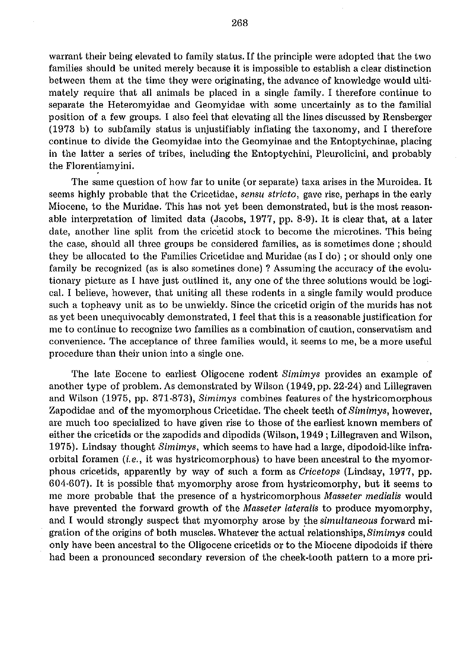warrant their being elevated to family status. If the principle were adopted that the two families should be united merely because it is impossible to establish a clear distinction between them at the time they were originating, the advance of knowledge would ulti· mately require that all animals be placed in a single family. I therefore continue to separate the Heteromyidae and Geomyidae with some uncertainly as to the familial position of a few groups. I also feel that elevating all the lines discussed by Rensberger (1973 b) to subfamily status is unjustifiably inflating the taxonomy, and I therefore continue to divide the Geomyidae into the Geomyinae and the Entoptychinae, placing in the latter a series of tribes, including the Entoptychini, Pleurolicini, and probably the Florentiamyini.

The same question of how far to unite (or separate) taxa arises in the Muroidea. It seems highly probable that the Cricetidae, *sensu stricto,* gave rise, perhaps in the early Miocene, to the Muridae. This has not yet been demonstrated, but is the most reason· able interpretation of limited data (Jacobs, 1977, pp. 8·9). It is clear that, at a later date, another line split from the cricetid stock to become the microtines. This being the case, should all three groups be considered families, as is sometimes done; should they be allocated to the Families Cricetidae and Muridae (as I do); or should only one family be recognized (as is also sometines done) ? Assuming the accuracy of the evolu· tionary picture as I have just outlined it, anyone of the three solutions would be logi· cal. I believe, however, that uniting all these rodents in a single family would produce such a topheavy unit as to be unwieldy. Since the cricetid origin of the murids has not as yet been unequivocably demonstrated, I feel that this is a reasonable justification for me to continue to recognize two families as a combination of caution, conservatism and convenience. The acceptance of three families would, it seems to me, be a more useful procedure than their union into a single one.

The late Eocene to earliest Oligocene rodent *Simimys* provides an example of another type of problem. As demonstrated by Wilson (1949, pp. 22·24) and Lillegraven and Wilson (1975, pp. 871·873), *Simimys* combines features of the hystricomorphous Zapodidae and of the myomorphous Cricetidae. The cheek teeth of *Simimys,* however, are much too specialized to have given rise to those of the earliest known members of either the cricetids or the zapodids and dipodids (Wilson, 1949 ; Lillegraven and Wilson, 1975). Lindsay thought *Simimys,* which seems to have had a large, dipodoid·like infra· orbital foramen (i.e., it was hystricomorphous) to have been ancestral to the myomor· phous cricetids, apparently by way of such a form as *Cricetops* (Lindsay, 1977, pp. 604·607). It is possible that myomorphy arose from hystricomorphy, but it seems to me more probable that the presence of a hystricomorphous *Masseter medialis* would have prevented the forward growth of the *Masseter lateralis* to produce myomorphy, and I would strongly suspect that myomorphy arose by the *simultaneous* forward mi· gration of the origins of both muscles. Whatever the actual relationships, *Simimys* could only have been ancestral to the Oligocene cricetids or to the Miocene dipodoids if there had been a pronounced secondary reversion of the cheek·tooth pattern to a more pri·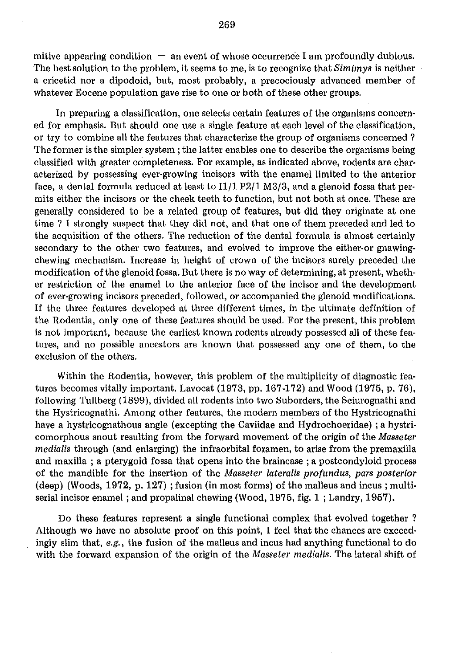mitive appearing condition  $-$  an event of whose occurrence I am profoundly dubious. The best solution to the problem, it seems to me, is to recognize that *Simimys* is neither a cricetid nor a dipodoid, but, most probably, a precociously advanced member of whatever Eocene population gave rise to one or both of these other groups,

In preparing a classification, one selects certain features of the organisms concerned for emphasis. But should one use a single feature at each level of the classification, or try to combine all the features that characterize the group of organisms concerned? The former is the simpler system; the latter enables one to describe the organisms being classified with greater completeness. For example, as indicated above, rodents are characterized by possessing ever-growing incisors with the enamel limited to the anterior face, a dental formula reduced at least to  $I1/1$  P2/1 M3/3, and a glenoid fossa that permits either the incisors or the cheek teeth to function, but not both at once. These are generally considered to be a related group of features, but did they originate at one time ? I strongly suspect that they did not, and that one of them preceded and led to the acquisition of the others. The reduction of the dental formula is almost certainly secondary to the other two features, and evolved to improve the either-or gnawingchewing mechanism. Increase in height of crown of the incisors surely preceded the modification of the glenoid fossa. But there is no way of determining, at present, whether restriction of the enamel to the anterior face of the incisor and the development of ever·growing incisors preceded, followed, or accompanied the glenoid modifications. If the three features developed at three different times, in the ultimate definition of the Rodentia, only one of these features should be used. For the present, this problem is not important, because the earliest known rodents already possessed all of these features, and no possible ancestors are known that possessed anyone of them, to the exclusion of the others.

Within the Rodentia, however, this problem of the multiplicity of diagnostic features becomes vitally important. Lavocat (1973, pp. 167-172) and Wood (1975, p. 76), following Tullberg (1899), divided all rodents into two Suborders, the Sciurognathi and the Hystricognathi. Among other features, the modern members of the Hystricognathi have a hystricognathous angle (excepting the Caviidae and Hydrochoeridae) ; a hystricomorphous snout resulting from the forward movement of the origin of the *Masseter medialis* through (and enlarging) the infraorbital foramen, to arise from the premaxilla and maxilla; a pterygoid fossa that opens into the braincase; a postcondyloid process of the mandible for the insertion of the *Masseter iatemlis profundus, pars posterior*  (deep) (Woods, 1972, p. 127) ; fusion (in most forms) of the malleus and incus; multiserial incisor enamel; and propalinal chewing (Wood, 1975, fig. 1 ; Landry, 1957).

Do these features represent a single functional complex that evolved together ? Although we have no absolute proof on this point, I feel that the chances are exceedingly slim that, *e.g.,* the fusion of the malleus and incus had anything functional to do with the forward expansion of the origin of the *Masseter medialis.* The lateral shift of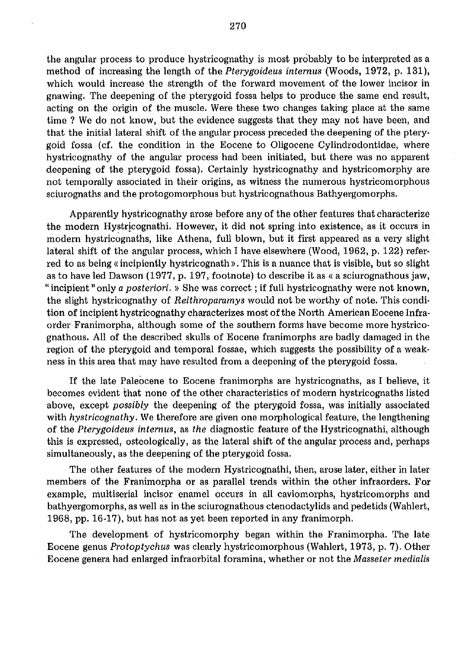the angular process to produce hystricognathy is most probably to be interpreted as a method of increasing the length of the *Pterygoideus internus* (Woods, 1972, p. 131), which would increase the strength of the forward movement of the lower incisor in gnawing. The deepening of the pterygoid fossa helps to produce the same end result, acting on the origin of the muscle. Were these two changes taking place at the same time? We do not know, but the evidence suggests that they may not have been, and that the initial lateral shift of the angular process preceded the deepening of the pterygoid fossa (cf. the condition in the Eocene to Oligocene Cylindrodontidae, where hystricognathy of the angular process had been initiated, but there was no apparent deepening of the pterygoid fossa). Certainly hystricognathy and hystricomorphy are not temporally associated in their origins, as witness the numerous hystricomorphous sciurognaths and the protogomorphous but hystricognathous Bathyergomorphs.

Apparently hystricognathy arose before any of the other features that characterize the modern Hystricognathi. However, it did not spring into existence, as it occurs in modern hystricognaths, like Athena, full blown, but it first appeared as a very slight lateral shift of the angular process, which I have elsewhere (Wood, 1962, p. 122) referred to as being « incipientiy hystricognath». This is a nuance that is visible, but so slight as to have led Dawson (1977, p. 197, footnote) to describe it as « a sciurognathous jaw, "incipient" only a posteriori. » She was correct; if full hystricognathy were not known, the slight hystricognathy of Reithroparamys would not be worthy of note. This condition of incipient hystricognathy characterizes most of the North American Eocene Infraorder Franimorpha, although some of the southern forms have become more hystricognathous. All of the described skulls of Eocene franimorphs are badly damaged in the region of the pterygoid and temporal fossae, which suggests the possibility of a weakness in this area that may have resulted from a deepening of the pterygoid fossa.

If the late Paleocene to Eocene franimorphs are hystricognaths, as I believe, it becomes evident that none of the other characteristics of modern hystricognaths listed above, except possibly the deepening of the pterygoid fossa, was initially associated with hystricognathy. We therefore are given one morphological feature, the lengthening of the Pterygoideus intemus, as the diagnostic feature of the Hystricognathi, although this is expressed, osteologically, as the lateral shift of the angular process and, perhaps simultaneously, as the deepening of the pterygoid fossa.

The other features of the modern Hystricognathi, then, arose later, either in later members of the Franimorpha or as parallel trends within the other infraorders. For example, multiserial incisor enamel occurs in all caviomorphs, hystricomorphs and bathyergomorphs, as well as in the sciurognathous ctenodactylids and pedetids (Wahlert, 1968, pp. 16-17), but has not as yet been reported in any franimorph.

The development of hystricomorphy began within the Franimorpha. The late Eocene genus Protoptychus was clearly hystricomorphous (Wahlert, 1973, p. 7). Other Eocene genera had enlarged infraorbital foramina, whether or not the Masseter medialis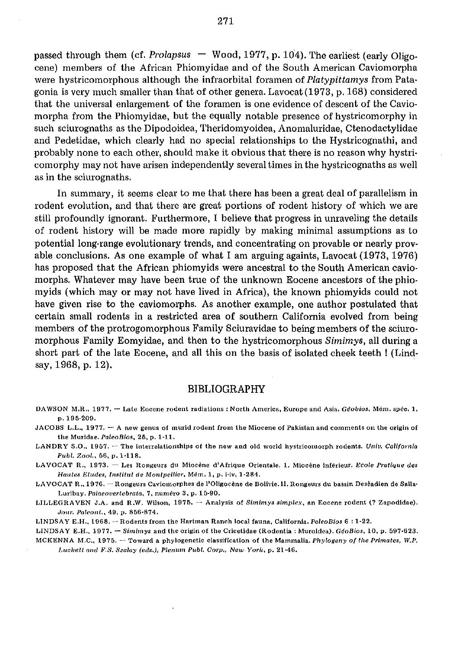passed through them (cf. Prolapsus  $-$  Wood, 1977, p. 104). The earliest (early Oligocene) members of the African Phiomyidae and of the South American Caviomorpha were hystricomorphous although the infraorbital foramen of *Platypittamys* from Patagonia is very much smaller than that of other genera. Lavocat  $(1973, p.168)$  considered that the universal enlargement of the foramen is one evidence of descent of the Caviomorpha from the Phiomyidae, but the equally notable presence of hystricomorphy in such sciurognaths as the Dipodoidea, Theridomyoidea, Anomaluridae, Ctenodactylidae and Pedetidae, which clearly had no special relationships to the Hystricognathi, and probably none to each other, should make it obvious that there is no reason why hystricomorphy may not have arisen independently several times in the hystricognaths as well as in the sciurognaths.

In summary, it seems clear to me that there has been a great deal of parallelism in rodent evolution, and that there are great portions of rodent history of which we are still profoundly ignorant. Furthermore, I believe that progress in unraveling the details of rodent history will be made more rapidly by making minimal assumptions as to potential long-range evolutionary trends, and concentrating on provable or nearly provable conclusions. As one example of what I am arguing againts, Lavocat (1973,1976) has proposed that the African phiomyids were ancestral to the South American caviomorphs. Whatever may have been true of the unknown Eocene ancestors of the phiomyids (which may or may not have lived in Africa), the known phiomyids could not have given rise to the caviomorphs. As another example, one author postulated that certain small rodents in a restricted area of southern California evolved from being members of the protrogomorphous Family Sciuravidae to being members of the sciuromorphous Family Eomyidae, and then to the hystricomorphous Simimys, all during a short part of the late Eocene, and all this on the basis of isolated cheek teeth! (Lindsay, 1968, p. 12).

## BIBLIOGRAPHY

- **DA WSON 1LR., 1977. - Late Eoccnc rodent radiations : North America, Europe and Asia.** *Geobios,* **Mem. spec. 1, p.195-209.**
- **JACOBS L.L., 1977. A new genus of murid rodent from the Miocene of Pakistan and comments on the origin of the Murldae. PaleoBios, 26, p. 1-11.**
- LANDRY S.O., 1957. The interrelationships of the new and old world hystricomorph rodents. *Univ. California* **Publ. Zool" 56, p.l-llS.**
- LAVOCAT R., 1973. Les Rongeurs du Miocène d'Afrique Orientale. 1. Miocène inférieur. *Ecole Pratique des Halltes Etudes, Illstitut de MOlltpellier.* **Mem. 1, p. i-Iv, 1-284.**
- **I,A VOCAT R .. 1976. - Rongeurs Caviomorphes de I'Oligocime de Bolivie.ll. Rongeurs du bassin Deseadien de Salla· Luribay. Palaeovertebrata, 7, numero 3, p. 15-90.**
- LILLEGRAVEN J.A. and R.W. Wilson, 1975. Analysis of *Simimys simplex*, an Eocene rodent (? Zapodidae). **Jour. Paleont., 49, p. 856-874.**

LINDSAY E.H., 1968. - Rodents from the Hartman Ranch local fauna, California. PaleoBios 6:1-22.

**LINDSAY E.H., 1977. - Simimys and the origin of the Cricetidae (Rodentia: Muroidea). GeoBios, 10, p. 597·623.** 

MCKENNA M.C., 1975. -- Toward a phylogenetic classification of the Mammalia. *Phylogeny of the Primates*, W.P. Luckett and F.S. Szalay (eds.), Plenum Publ. Corp., New-York, p. 21-46.